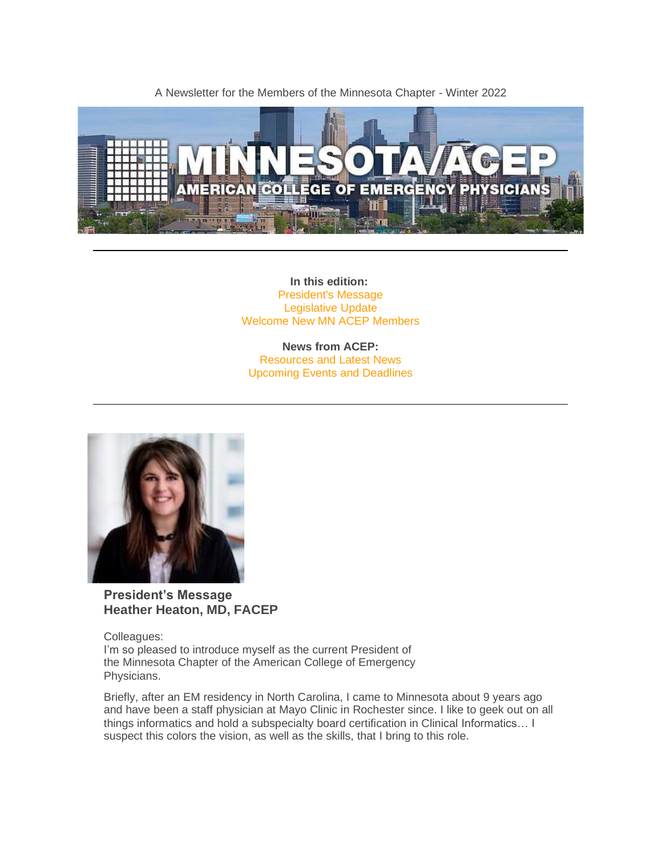A Newsletter for the Members of the Minnesota Chapter - Winter 2022



**In this edition:** President's Message Legislative Update Welcome New MN ACEP Members

**News from ACEP:** Resources and Latest News Upcoming Events and Deadlines



**President's Message Heather Heaton, MD, FACEP**

Colleagues:

I'm so pleased to introduce myself as the current President of the Minnesota Chapter of the American College of Emergency Physicians.

Briefly, after an EM residency in North Carolina, I came to Minnesota about 9 years ago and have been a staff physician at Mayo Clinic in Rochester since. I like to geek out on all things informatics and hold a subspecialty board certification in Clinical Informatics… I suspect this colors the vision, as well as the skills, that I bring to this role.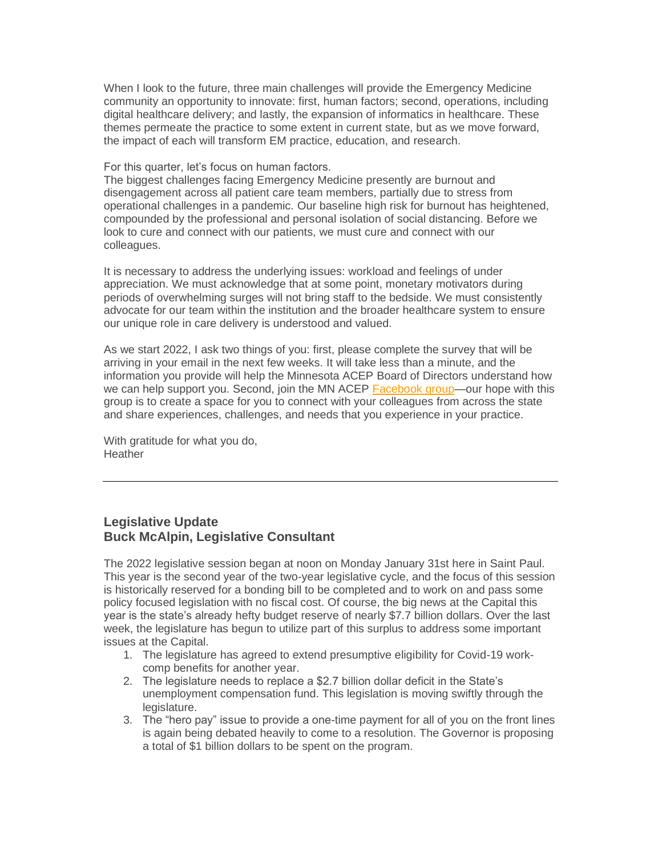When I look to the future, three main challenges will provide the Emergency Medicine community an opportunity to innovate: first, human factors; second, operations, including digital healthcare delivery; and lastly, the expansion of informatics in healthcare. These themes permeate the practice to some extent in current state, but as we move forward, the impact of each will transform EM practice, education, and research.

For this quarter, let's focus on human factors.

The biggest challenges facing Emergency Medicine presently are burnout and disengagement across all patient care team members, partially due to stress from operational challenges in a pandemic. Our baseline high risk for burnout has heightened, compounded by the professional and personal isolation of social distancing. Before we look to cure and connect with our patients, we must cure and connect with our colleagues.

It is necessary to address the underlying issues: workload and feelings of under appreciation. We must acknowledge that at some point, monetary motivators during periods of overwhelming surges will not bring staff to the bedside. We must consistently advocate for our team within the institution and the broader healthcare system to ensure our unique role in care delivery is understood and valued.

As we start 2022, I ask two things of you: first, please complete the survey that will be arriving in your email in the next few weeks. It will take less than a minute, and the information you provide will help the Minnesota ACEP Board of Directors understand how we can help support you. Second, join the MN ACEP [Facebook group—](https://www.facebook.com/groups/355448782854055)our hope with this group is to create a space for you to connect with your colleagues from across the state and share experiences, challenges, and needs that you experience in your practice.

With gratitude for what you do, **Heather** 

#### **Legislative Update Buck McAlpin, Legislative Consultant**

The 2022 legislative session began at noon on Monday January 31st here in Saint Paul. This year is the second year of the two-year legislative cycle, and the focus of this session is historically reserved for a bonding bill to be completed and to work on and pass some policy focused legislation with no fiscal cost. Of course, the big news at the Capital this year is the state's already hefty budget reserve of nearly \$7.7 billion dollars. Over the last week, the legislature has begun to utilize part of this surplus to address some important issues at the Capital.

- 1. The legislature has agreed to extend presumptive eligibility for Covid-19 workcomp benefits for another year.
- 2. The legislature needs to replace a \$2.7 billion dollar deficit in the State's unemployment compensation fund. This legislation is moving swiftly through the legislature.
- 3. The "hero pay" issue to provide a one-time payment for all of you on the front lines is again being debated heavily to come to a resolution. The Governor is proposing a total of \$1 billion dollars to be spent on the program.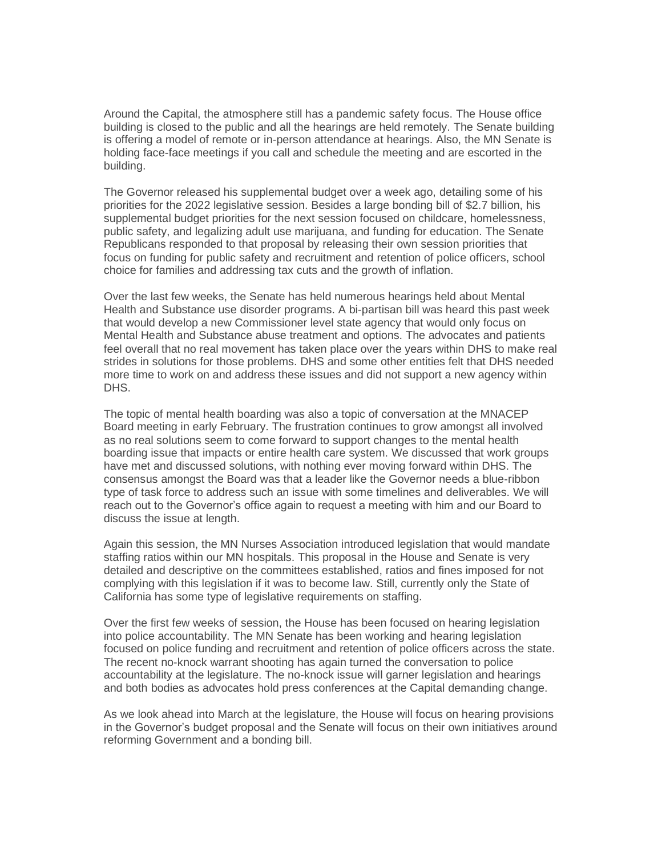Around the Capital, the atmosphere still has a pandemic safety focus. The House office building is closed to the public and all the hearings are held remotely. The Senate building is offering a model of remote or in-person attendance at hearings. Also, the MN Senate is holding face-face meetings if you call and schedule the meeting and are escorted in the building.

The Governor released his supplemental budget over a week ago, detailing some of his priorities for the 2022 legislative session. Besides a large bonding bill of \$2.7 billion, his supplemental budget priorities for the next session focused on childcare, homelessness, public safety, and legalizing adult use marijuana, and funding for education. The Senate Republicans responded to that proposal by releasing their own session priorities that focus on funding for public safety and recruitment and retention of police officers, school choice for families and addressing tax cuts and the growth of inflation.

Over the last few weeks, the Senate has held numerous hearings held about Mental Health and Substance use disorder programs. A bi-partisan bill was heard this past week that would develop a new Commissioner level state agency that would only focus on Mental Health and Substance abuse treatment and options. The advocates and patients feel overall that no real movement has taken place over the years within DHS to make real strides in solutions for those problems. DHS and some other entities felt that DHS needed more time to work on and address these issues and did not support a new agency within DHS.

The topic of mental health boarding was also a topic of conversation at the MNACEP Board meeting in early February. The frustration continues to grow amongst all involved as no real solutions seem to come forward to support changes to the mental health boarding issue that impacts or entire health care system. We discussed that work groups have met and discussed solutions, with nothing ever moving forward within DHS. The consensus amongst the Board was that a leader like the Governor needs a blue-ribbon type of task force to address such an issue with some timelines and deliverables. We will reach out to the Governor's office again to request a meeting with him and our Board to discuss the issue at length.

Again this session, the MN Nurses Association introduced legislation that would mandate staffing ratios within our MN hospitals. This proposal in the House and Senate is very detailed and descriptive on the committees established, ratios and fines imposed for not complying with this legislation if it was to become law. Still, currently only the State of California has some type of legislative requirements on staffing.

Over the first few weeks of session, the House has been focused on hearing legislation into police accountability. The MN Senate has been working and hearing legislation focused on police funding and recruitment and retention of police officers across the state. The recent no-knock warrant shooting has again turned the conversation to police accountability at the legislature. The no-knock issue will garner legislation and hearings and both bodies as advocates hold press conferences at the Capital demanding change.

As we look ahead into March at the legislature, the House will focus on hearing provisions in the Governor's budget proposal and the Senate will focus on their own initiatives around reforming Government and a bonding bill.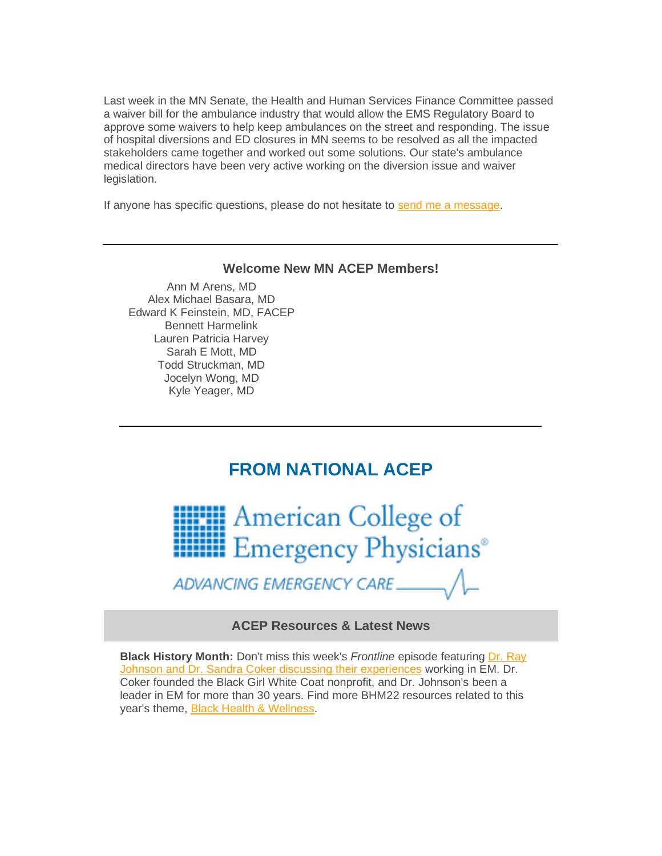Last week in the MN Senate, the Health and Human Services Finance Committee passed a waiver bill for the ambulance industry that would allow the EMS Regulatory Board to approve some waivers to help keep ambulances on the street and responding. The issue of hospital diversions and ED closures in MN seems to be resolved as all the impacted stakeholders came together and worked out some solutions. Our state's ambulance medical directors have been very active working on the diversion issue and waiver legislation.

If anyone has specific questions, please do not hesitate to [send me a message.](mailto:buck@libylawoffice.com)

#### **Welcome New MN ACEP Members!** Ann M Arens, MD Alex Michael Basara, MD Edward K Feinstein, MD, FACEP Bennett Harmelink Lauren Patricia Harvey Sarah E Mott, MD Todd Struckman, MD Jocelyn Wong, MD

Kyle Yeager, MD

# **FROM NATIONAL ACEP**

**HIPS** American College of **HIIII** Emergency Physicians®

ADVANCING EMERGENCY CARE

**ACEP Resources & Latest News**

**Black History Month:** Don't miss this week's *Frontline* episode featuring [Dr. Ray](https://soundcloud.com/acep-frontline/black-history-month-special)  [Johnson and Dr. Sandra Coker discussing their experiences](https://soundcloud.com/acep-frontline/black-history-month-special) working in EM. Dr. Coker founded the Black Girl White Coat nonprofit, and Dr. Johnson's been a leader in EM for more than 30 years. Find more BHM22 resources related to this year's theme, [Black Health & Wellness.](https://www.acep.org/home-page-redirects/latest-news/black-history-month-health--wellness/)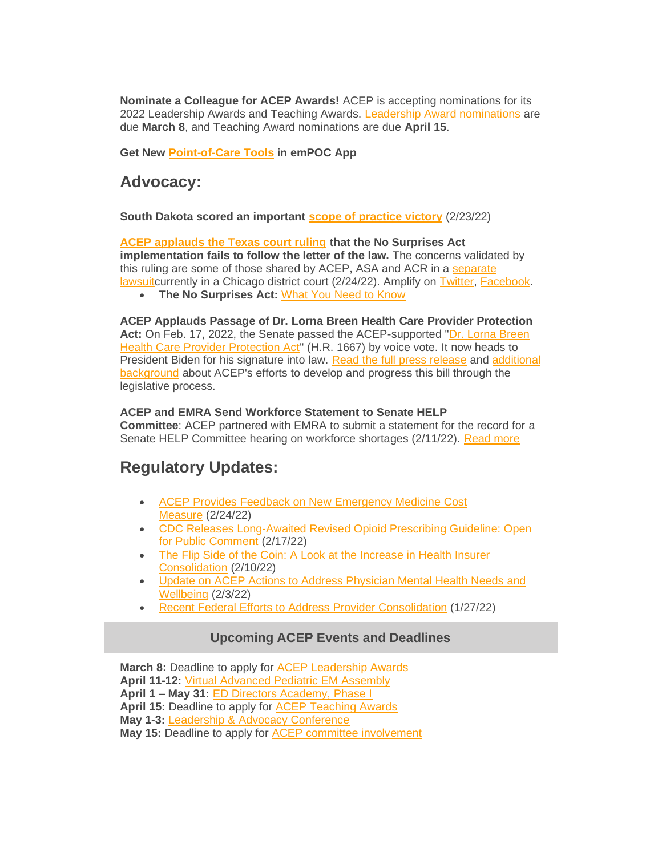**Nominate a Colleague for ACEP Awards!** ACEP is accepting nominations for its 2022 Leadership Awards and Teaching Awards. [Leadership Award nominations](https://www.acep.org/who-we-are/acep-awards/leadership-and-excellence/acep-leadership-and-excellence-awards/) are due **March 8**, and Teaching Award nominations are due **April 15**.

**Get New [Point-of-Care Tools](https://www.acep.org/patient-care/point-of-care-tools/) in emPOC App**

### **Advocacy:**

**South Dakota scored an important [scope of practice victory](https://www.acep.org/home-page-redirects/latest-news/south-dakota-scores-scope-of-practice-victory/)** (2/23/22)

**[ACEP applauds the Texas court ruling](https://www.emergencyphysicians.org/press-releases/2022/2-24-22-acep-praises-texas-court-ruling-that-finds-flaws-in-no-surprises-act-implementation) that the No Surprises Act implementation fails to follow the letter of the law.** The concerns validated by this ruling are some of those shared by ACEP, ASA and ACR in a [separate](https://www.emergencyphysicians.org/press-releases/2022/2-9-22-in-new-court-motion-major-medical-societies-argue-no-surprises-act-rule-violates-law-passed-by-congress)  [lawsuitc](https://www.emergencyphysicians.org/press-releases/2022/2-9-22-in-new-court-motion-major-medical-societies-argue-no-surprises-act-rule-violates-law-passed-by-congress)urrently in a Chicago district court (2/24/22). Amplify on [Twitter,](https://twitter.com/EmergencyDocs/status/1496973421774884871) [Facebook.](https://www.facebook.com/EmergencyPhysicians.org/posts/10158922625947815)

• **The No Surprises Act:** [What You Need to Know](https://www.acep.org/federal-advocacy/no-surprises-act-overview/)

**ACEP Applauds Passage of Dr. Lorna Breen Health Care Provider Protection Act:** On Feb. 17, 2022, the Senate passed the ACEP-supported ["Dr. Lorna Breen](https://www.congress.gov/bill/117th-congress/house-bill/1667)  [Health Care Provider Protection Act"](https://www.congress.gov/bill/117th-congress/house-bill/1667) (H.R. 1667) by voice vote. It now heads to President Biden for his signature into law. [Read the full press release](https://www.emergencyphysicians.org/press-releases/2022/2-18-22-acep-applauds-the-passage-of-legislation-to-protect-frontline-worker-mental-health) and additional [background](https://www.acep.org/corona/COVID-19-alert/covid-19-articles/your-advocacy-at-work-senate-passes-dr.-lorna-breen-bill/) about ACEP's efforts to develop and progress this bill through the legislative process.

#### **ACEP and EMRA Send Workforce Statement to Senate HELP**

**Committee**: ACEP partnered with EMRA to submit a statement for the record for a Senate HELP Committee hearing on workforce shortages (2/11/22). [Read more](https://www.acep.org/federal-advocacy/workforce-issues/)

## **Regulatory Updates:**

- [ACEP Provides Feedback on New Emergency Medicine Cost](https://www.acep.org/federal-advocacy/federal-advocacy-overview/regs--eggs/regs--eggs-articles/regs--eggs---february-24-2022/)  [Measure](https://www.acep.org/federal-advocacy/federal-advocacy-overview/regs--eggs/regs--eggs-articles/regs--eggs---february-24-2022/) (2/24/22)
- [CDC Releases Long-Awaited Revised Opioid Prescribing Guideline: Open](https://www.acep.org/federal-advocacy/federal-advocacy-overview/regs--eggs/regs--eggs-articles/regs--eggs---february-17-2022/)  [for Public Comment](https://www.acep.org/federal-advocacy/federal-advocacy-overview/regs--eggs/regs--eggs-articles/regs--eggs---february-17-2022/) (2/17/22)
- [The Flip Side of the Coin: A Look at the Increase in Health Insurer](https://www.acep.org/federal-advocacy/federal-advocacy-overview/regs--eggs/regs--eggs-articles/regs--eggs---february-10-2022/)  [Consolidation](https://www.acep.org/federal-advocacy/federal-advocacy-overview/regs--eggs/regs--eggs-articles/regs--eggs---february-10-2022/) (2/10/22)
- [Update on ACEP Actions to Address Physician Mental Health Needs and](https://www.acep.org/federal-advocacy/federal-advocacy-overview/regs--eggs/regs--eggs-articles/regs--eggs---february-3-2022/)  [Wellbeing](https://www.acep.org/federal-advocacy/federal-advocacy-overview/regs--eggs/regs--eggs-articles/regs--eggs---february-3-2022/) (2/3/22)
- [Recent Federal Efforts to Address Provider Consolidation](https://www.acep.org/federal-advocacy/federal-advocacy-overview/regs--eggs/regs--eggs-articles/regs--eggs---january-27-2022/) (1/27/22)

#### **Upcoming ACEP Events and Deadlines**

**March 8:** Deadline to apply for **[ACEP Leadership Awards](https://www.acep.org/who-we-are/acep-awards/) April 11-12:** [Virtual Advanced Pediatric EM Assembly](https://www.acep.org/pem/) **April 1 – May 31:** [ED Directors Academy, Phase I](https://www.acep.org/edda) **April 15:** Deadline to apply for [ACEP Teaching Awards](https://www.acep.org/who-we-are/acep-awards/teaching-awards/teaching-awards/) **May 1-3:** [Leadership & Advocacy Conference](https://www.acep.org/lac/) **May 15:** Deadline to apply for [ACEP committee involvement](https://www.acep.org/how-we-serve/committee/)